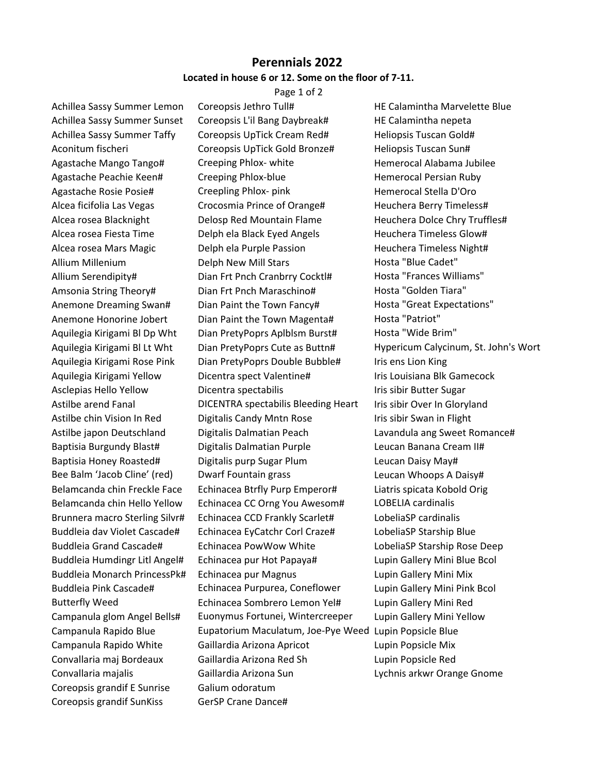## **Perennials 2022 Located in house 6 or 12. Some on the floor of 7-11.**

Page 1 of 2

Achillea Sassy Summer Lemon Coreopsis Jethro Tull# HE Calamintha Marvelette Blue Coreopsis grandif E Sunrise Galium odoratum Coreopsis grandif SunKiss GerSP Crane Dance#

Achillea Sassy Summer Sunset Coreopsis L'il Bang Daybreak# HE Calamintha nepeta Achillea Sassy Summer Taffy Coreopsis UpTick Cream Red# Heliopsis Tuscan Gold# Aconitum fischeri Coreopsis UpTick Gold Bronze# Heliopsis Tuscan Sun# Agastache Mango Tango# Creeping Phlox- white Hemerocal Alabama Jubilee Agastache Peachie Keen# Creeping Phlox-blue Hemerocal Persian Ruby Agastache Rosie Posie# Creepling Phlox- pink Hemerocal Stella D'Oro Alcea ficifolia Las Vegas Crocosmia Prince of Orange# Heuchera Berry Timeless# Alcea rosea Blacknight **Delosp Red Mountain Flame** Heuchera Dolce Chry Truffles# Alcea rosea Fiesta Time Thelph ela Black Eyed Angels Theuchera Timeless Glow# Alcea rosea Mars Magic Delph ela Purple Passion Heuchera Timeless Night# Allium Millenium **Delph New Mill Stars Chosta "Blue Cadet"** Hosta "Blue Cadet" Allium Serendipity# Dian Frt Pnch Cranbrry Cocktl# Hosta "Frances Williams" Amsonia String Theory# Dian Frt Pnch Maraschino# Hosta "Golden Tiara" Anemone Dreaming Swan# Dian Paint the Town Fancy# Hosta "Great Expectations" Anemone Honorine Jobert Dian Paint the Town Magenta# Hosta "Patriot" Aquilegia Kirigami Bl Dp Wht Dian PretyPoprs Aplblsm Burst# Hosta "Wide Brim" Aquilegia Kirigami Bl Lt Wht Dian PretyPoprs Cute as Buttn# Hypericum Calycinum, St. John's Wort Aquilegia Kirigami Rose Pink Dian PretyPoprs Double Bubble# Iris ens Lion King Aquilegia Kirigami Yellow Dicentra spect Valentine# Iris Louisiana Blk Gamecock Asclepias Hello Yellow **Dicentra spectabilis** Initially the Sugar Communist Sugar Astilbe arend Fanal DICENTRA spectabilis Bleeding Heart Iris sibir Over In Gloryland Astilbe chin Vision In Red Digitalis Candy Mntn Rose Iris sibir Swan in Flight Astilbe japon Deutschland Digitalis Dalmatian Peach Lavandula ang Sweet Romance# Baptisia Burgundy Blast# Digitalis Dalmatian Purple Leucan Banana Cream II# Baptisia Honey Roasted# Digitalis purp Sugar Plum Leucan Daisy May# Bee Balm 'Jacob Cline' (red) Dwarf Fountain grass Leucan Whoops A Daisy# Belamcanda chin Freckle Face Echinacea Btrfly Purp Emperor# Liatris spicata Kobold Orig Belamcanda chin Hello Yellow Echinacea CC Orng You Awesom# LOBELIA cardinalis Brunnera macro Sterling Silvr# Echinacea CCD Frankly Scarlet# LobeliaSP cardinalis Buddleia dav Violet Cascade# Echinacea EyCatchr Corl Craze# LobeliaSP Starship Blue Buddleia Grand Cascade# Echinacea PowWow White LobeliaSP Starship Rose Deep Buddleia Humdingr Litl Angel# Echinacea pur Hot Papaya# Lupin Gallery Mini Blue Bcol Buddleia Monarch PrincessPk# Echinacea pur Magnus Lupin Gallery Mini Mix Buddleia Pink Cascade# Echinacea Purpurea, Coneflower Lupin Gallery Mini Pink Bcol Butterfly Weed Echinacea Sombrero Lemon Yel# Lupin Gallery Mini Red Campanula glom Angel Bells# Euonymus Fortunei, Wintercreeper Lupin Gallery Mini Yellow Campanula Rapido Blue Eupatorium Maculatum, Joe-Pye Weed Lupin Popsicle Blue Campanula Rapido White Gaillardia Arizona Apricot Lupin Popsicle Mix Convallaria maj Bordeaux Gaillardia Arizona Red Sh Lupin Popsicle Red Convallaria majalis Gaillardia Arizona Sun Lychnis arkwr Orange Gnome